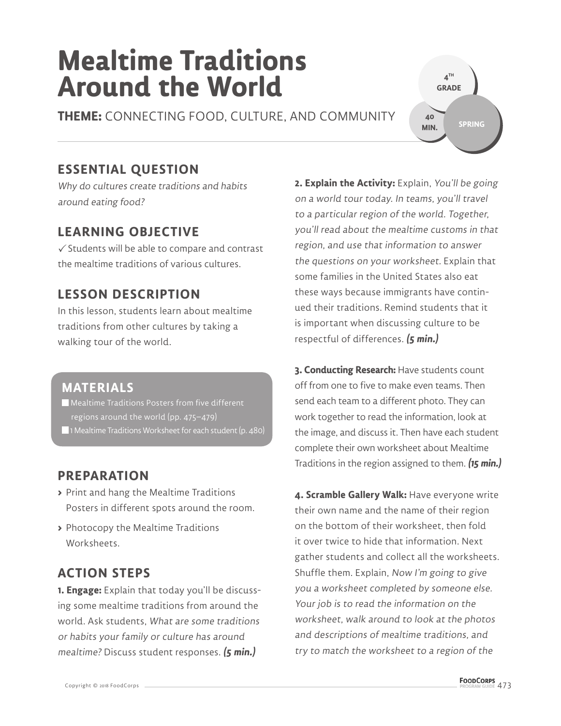### **Mealtime Traditions Around the World**

**THEME:** CONNECTING FOOD, CULTURE, AND COMMUNITY

### **ESSENTIAL QUESTION**

Why do cultures create traditions and habits around eating food?

#### **LEARNING OBJECTIVE**

 $\checkmark$  Students will be able to compare and contrast the mealtime traditions of various cultures.

#### **LESSON DESCRIPTION**

In this lesson, students learn about mealtime traditions from other cultures by taking a walking tour of the world.

#### **MATERIALS**

 Mealtime Traditions Posters from five different regions around the world (pp. 475–479) 1 Mealtime Traditions Worksheet for each student (p. 480)

### **PREPARATION**

- **>** Print and hang the Mealtime Traditions Posters in different spots around the room.
- **>** Photocopy the Mealtime Traditions Worksheets.

### **ACTION STEPS**

**1. Engage:** Explain that today you'll be discussing some mealtime traditions from around the world. Ask students, What are some traditions or habits your family or culture has around mealtime? Discuss student responses. **(5 min.)**

**2. Explain the Activity:** Explain, You'll be going on a world tour today. In teams, you'll travel to a particular region of the world. Together, you'll read about the mealtime customs in that region, and use that information to answer the questions on your worksheet. Explain that some families in the United States also eat these ways because immigrants have continued their traditions. Remind students that it is important when discussing culture to be respectful of differences. **(5 min.)**

**4 TH GRADE** 

**40 MIN.**

**SPRING**

**3. Conducting Research:** Have students count off from one to five to make even teams. Then send each team to a different photo. They can work together to read the information, look at the image, and discuss it. Then have each student complete their own worksheet about Mealtime Traditions in the region assigned to them. **(15 min.)**

**4. Scramble Gallery Walk:** Have everyone write their own name and the name of their region on the bottom of their worksheet, then fold it over twice to hide that information. Next gather students and collect all the worksheets. Shuffle them. Explain, Now I'm going to give you a worksheet completed by someone else. Your job is to read the information on the worksheet, walk around to look at the photos and descriptions of mealtime traditions, and try to match the worksheet to a region of the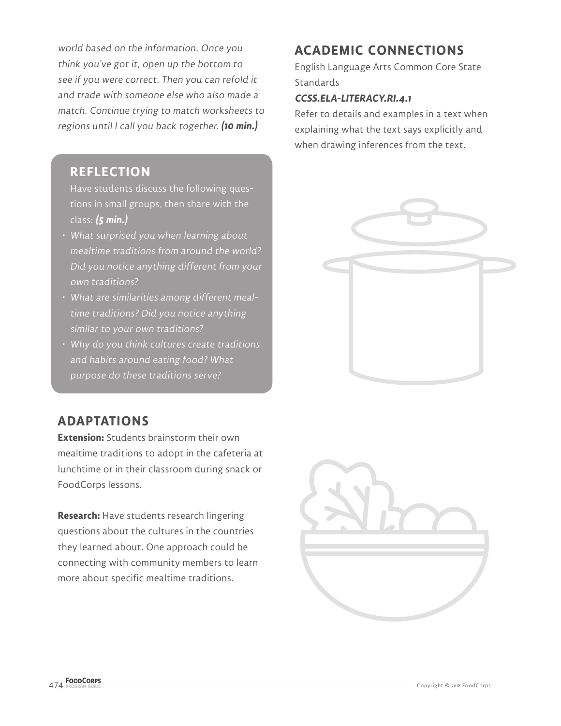world based on the information. Once you think you've got it, open up the bottom to see if you were correct. Then you can refold it and trade with someone else who also made a match. Continue trying to match worksheets to regions until I call you back together. **(10 min.)**

#### **REFLECTION**

Have students discuss the following questions in small groups, then share with the class: **(5 min.)**

- What surprised you when learning about mealtime traditions from around the world? Did you notice anything different from your own traditions?
- What are similarities among different mealtime traditions? Did you notice anything similar to your own traditions?
- Why do you think cultures create traditions and habits around eating food? What purpose do these traditions serve?

#### **ADAPTATIONS**

**Extension:** Students brainstorm their own mealtime traditions to adopt in the cafeteria at lunchtime or in their classroom during snack or FoodCorps lessons.

**Research:** Have students research lingering questions about the cultures in the countries they learned about. One approach could be connecting with community members to learn more about specific mealtime traditions.

### **ACADEMIC CONNECTIONS**

English Language Arts Common Core State **Standards** 

#### **CCSS.ELA-LITERACY.RI.4.1**

Refer to details and examples in a text when explaining what the text says explicitly and when drawing inferences from the text.



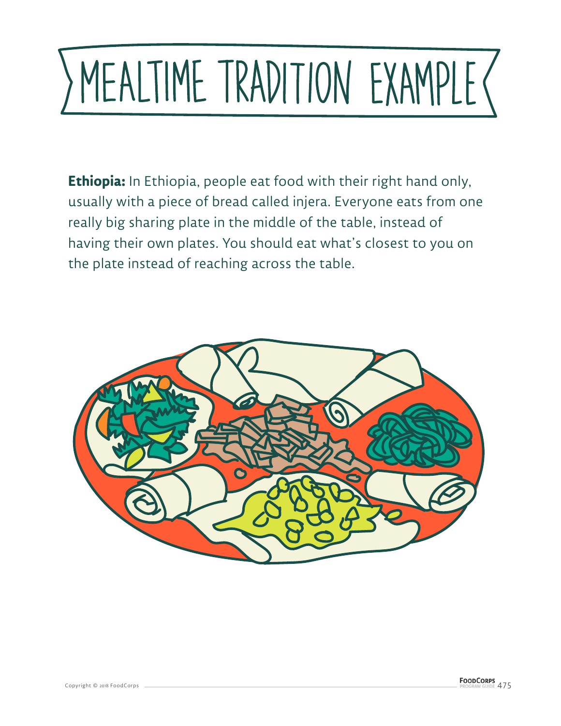**Ethiopia:** In Ethiopia, people eat food with their right hand only, usually with a piece of bread called injera. Everyone eats from one really big sharing plate in the middle of the table, instead of having their own plates. You should eat what's closest to you on the plate instead of reaching across the table.

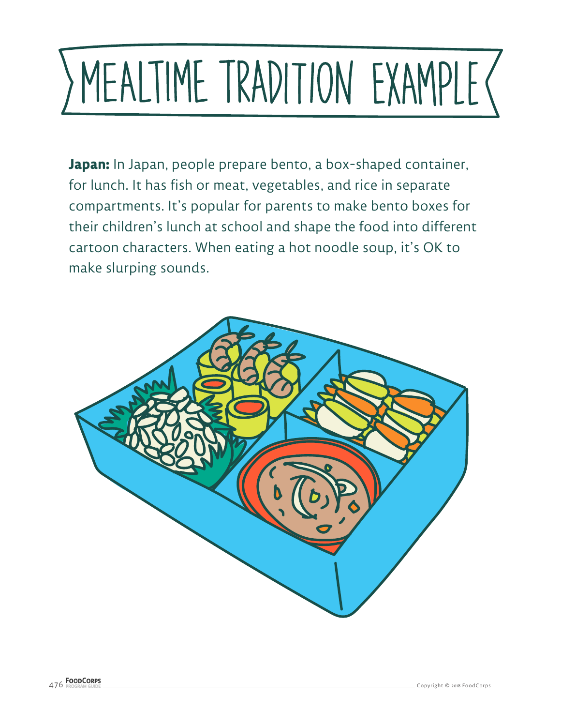**Japan:** In Japan, people prepare bento, a box-shaped container, for lunch. It has fish or meat, vegetables, and rice in separate compartments. It's popular for parents to make bento boxes for their children's lunch at school and shape the food into different cartoon characters. When eating a hot noodle soup, it's OK to make slurping sounds.

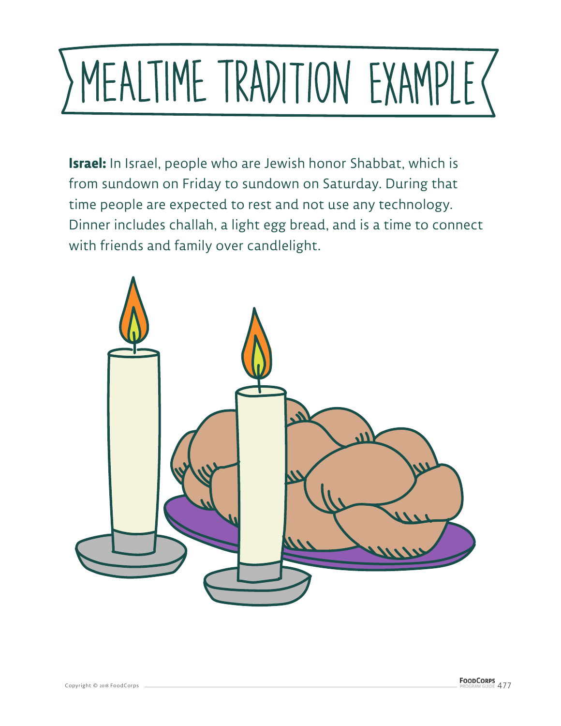**Israel:** In Israel, people who are Jewish honor Shabbat, which is from sundown on Friday to sundown on Saturday. During that time people are expected to rest and not use any technology. Dinner includes challah, a light egg bread, and is a time to connect with friends and family over candlelight.

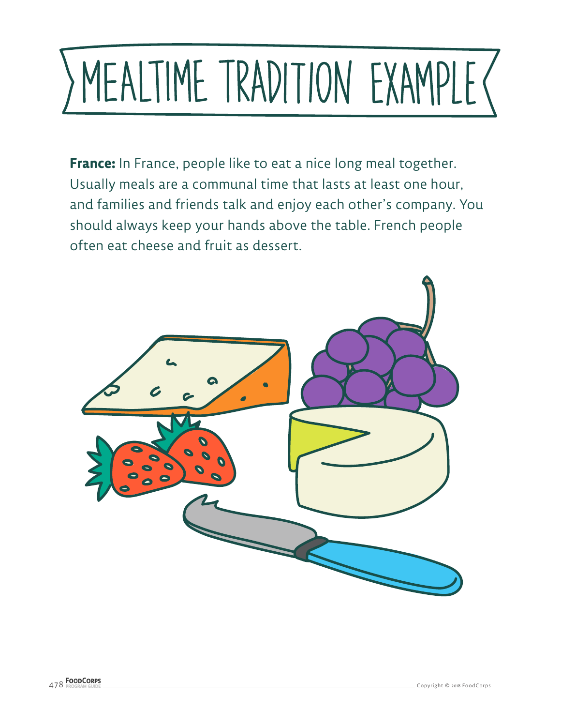**France:** In France, people like to eat a nice long meal together. Usually meals are a communal time that lasts at least one hour, and families and friends talk and enjoy each other's company. You should always keep your hands above the table. French people often eat cheese and fruit as dessert.

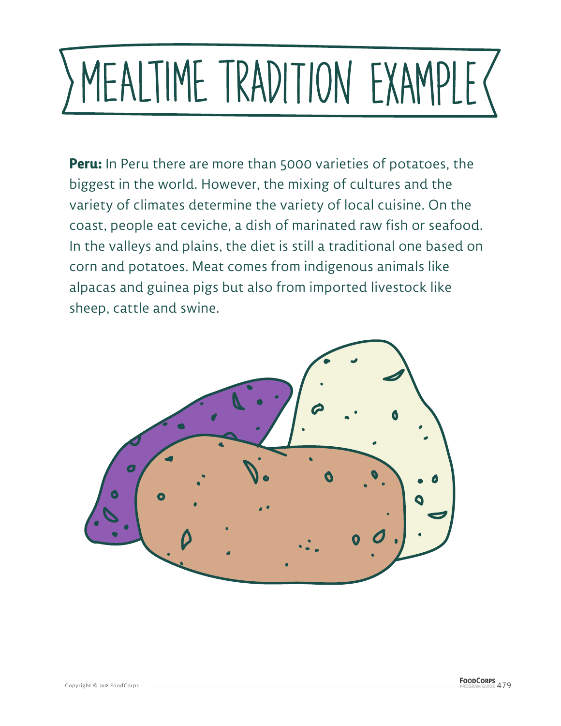**Peru:** In Peru there are more than 5000 varieties of potatoes, the biggest in the world. However, the mixing of cultures and the variety of climates determine the variety of local cuisine. On the coast, people eat ceviche, a dish of marinated raw fish or seafood. In the valleys and plains, the diet is still a traditional one based on corn and potatoes. Meat comes from indigenous animals like alpacas and guinea pigs but also from imported livestock like sheep, cattle and swine.